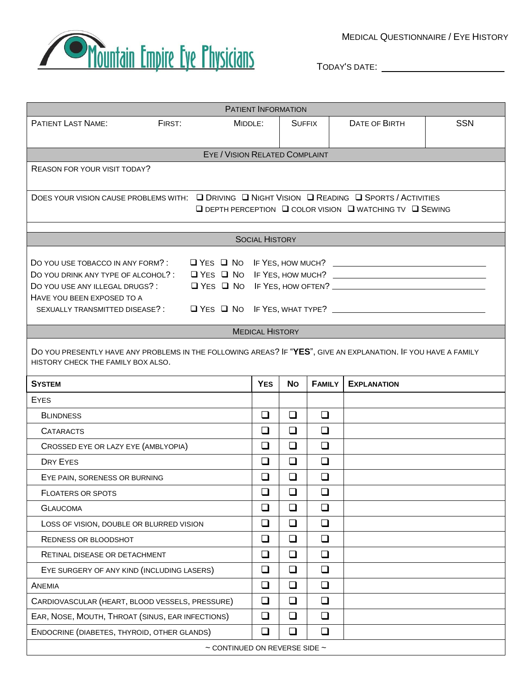

MEDICAL QUESTIONNAIRE / EYE HISTORY

TODAY'S DATE:

| PATIENT INFORMATION                                                                                                                                                            |                   |            |               |               |                    |            |  |  |  |  |  |
|--------------------------------------------------------------------------------------------------------------------------------------------------------------------------------|-------------------|------------|---------------|---------------|--------------------|------------|--|--|--|--|--|
| <b>PATIENT LAST NAME:</b>                                                                                                                                                      | FIRST:<br>MIDDLE: |            | <b>SUFFIX</b> |               | DATE OF BIRTH      | <b>SSN</b> |  |  |  |  |  |
|                                                                                                                                                                                |                   |            |               |               |                    |            |  |  |  |  |  |
| EYE / VISION RELATED COMPLAINT                                                                                                                                                 |                   |            |               |               |                    |            |  |  |  |  |  |
| <b>REASON FOR YOUR VISIT TODAY?</b>                                                                                                                                            |                   |            |               |               |                    |            |  |  |  |  |  |
| DOES YOUR VISION CAUSE PROBLEMS WITH: Q DRIVING Q NIGHT VISION Q READING Q SPORTS / ACTIVITIES<br>$\Box$ DEPTH PERCEPTION $\Box$ COLOR VISION $\Box$ WATCHING TV $\Box$ SEWING |                   |            |               |               |                    |            |  |  |  |  |  |
| <b>SOCIAL HISTORY</b>                                                                                                                                                          |                   |            |               |               |                    |            |  |  |  |  |  |
|                                                                                                                                                                                |                   |            |               |               |                    |            |  |  |  |  |  |
|                                                                                                                                                                                |                   |            |               |               |                    |            |  |  |  |  |  |
| DO YOU DRINK ANY TYPE OF ALCOHOL?: □ YES □ NO IF YES, HOW MUCH? ___________________________________                                                                            |                   |            |               |               |                    |            |  |  |  |  |  |
| DO YOU USE ANY ILLEGAL DRUGS?:<br>HAVE YOU BEEN EXPOSED TO A                                                                                                                   |                   |            |               |               |                    |            |  |  |  |  |  |
|                                                                                                                                                                                |                   |            |               |               |                    |            |  |  |  |  |  |
| <b>MEDICAL HISTORY</b>                                                                                                                                                         |                   |            |               |               |                    |            |  |  |  |  |  |
| DO YOU PRESENTLY HAVE ANY PROBLEMS IN THE FOLLOWING AREAS? IF "YES", GIVE AN EXPLANATION. IF YOU HAVE A FAMILY<br>HISTORY CHECK THE FAMILY BOX ALSO.                           |                   |            |               |               |                    |            |  |  |  |  |  |
| <b>SYSTEM</b>                                                                                                                                                                  |                   | <b>YES</b> | <b>No</b>     | <b>FAMILY</b> | <b>EXPLANATION</b> |            |  |  |  |  |  |
| <b>EYES</b>                                                                                                                                                                    |                   |            |               |               |                    |            |  |  |  |  |  |
| <b>BLINDNESS</b>                                                                                                                                                               |                   | $\Box$     | $\Box$        | $\Box$        |                    |            |  |  |  |  |  |
| <b>CATARACTS</b>                                                                                                                                                               |                   | $\Box$     | ❏             | $\Box$        |                    |            |  |  |  |  |  |
| CROSSED EYE OR LAZY EYE (AMBLYOPIA)                                                                                                                                            |                   | $\Box$     | $\Box$        | $\Box$        |                    |            |  |  |  |  |  |
| DRY EYES                                                                                                                                                                       |                   | $\Box$     | $\Box$        | $\Box$        |                    |            |  |  |  |  |  |
| EYE PAIN, SORENESS OR BURNING                                                                                                                                                  |                   | ❏          | $\Box$        | $\Box$        |                    |            |  |  |  |  |  |
| <b>FLOATERS OR SPOTS</b>                                                                                                                                                       |                   | $\Box$     | $\Box$        | $\Box$        |                    |            |  |  |  |  |  |
| <b>GLAUCOMA</b>                                                                                                                                                                |                   | $\Box$     | $\Box$        | $\Box$        |                    |            |  |  |  |  |  |
| LOSS OF VISION, DOUBLE OR BLURRED VISION                                                                                                                                       |                   | $\Box$     | $\Box$        | $\Box$        |                    |            |  |  |  |  |  |
| REDNESS OR BLOODSHOT                                                                                                                                                           |                   | $\Box$     | $\Box$        | $\Box$        |                    |            |  |  |  |  |  |
| <b>RETINAL DISEASE OR DETACHMENT</b>                                                                                                                                           |                   | $\Box$     | $\Box$        | $\Box$        |                    |            |  |  |  |  |  |
| EYE SURGERY OF ANY KIND (INCLUDING LASERS)                                                                                                                                     |                   | $\Box$     | $\Box$        | $\Box$        |                    |            |  |  |  |  |  |
| ANEMIA                                                                                                                                                                         |                   | $\Box$     | $\Box$        | $\Box$        |                    |            |  |  |  |  |  |
| CARDIOVASCULAR (HEART, BLOOD VESSELS, PRESSURE)                                                                                                                                |                   | $\Box$     | $\Box$        | $\Box$        |                    |            |  |  |  |  |  |
| EAR, NOSE, MOUTH, THROAT (SINUS, EAR INFECTIONS)                                                                                                                               |                   | $\Box$     | $\Box$        | $\Box$        |                    |            |  |  |  |  |  |
| ENDOCRINE (DIABETES, THYROID, OTHER GLANDS)                                                                                                                                    |                   | $\Box$     | $\Box$        | $\Box$        |                    |            |  |  |  |  |  |
| $\sim$ CONTINUED ON REVERSE SIDE $\sim$                                                                                                                                        |                   |            |               |               |                    |            |  |  |  |  |  |